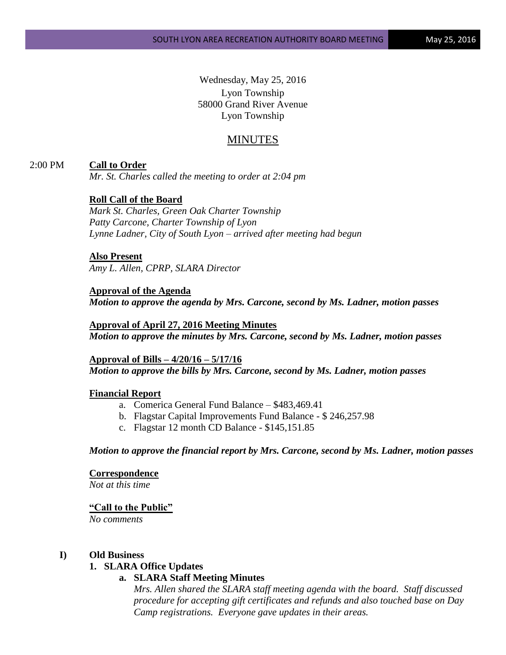Wednesday, May 25, 2016 Lyon Township 58000 Grand River Avenue Lyon Township

# MINUTES

### 2:00 PM **Call to Order**

*Mr. St. Charles called the meeting to order at 2:04 pm*

## **Roll Call of the Board**

*Mark St. Charles, Green Oak Charter Township Patty Carcone, Charter Township of Lyon Lynne Ladner, City of South Lyon – arrived after meeting had begun* 

#### **Also Present**

*Amy L. Allen, CPRP, SLARA Director*

**Approval of the Agenda** *Motion to approve the agenda by Mrs. Carcone, second by Ms. Ladner, motion passes*

**Approval of April 27, 2016 Meeting Minutes** *Motion to approve the minutes by Mrs. Carcone, second by Ms. Ladner, motion passes*

**Approval of Bills – 4/20/16 – 5/17/16** *Motion to approve the bills by Mrs. Carcone, second by Ms. Ladner, motion passes*

### **Financial Report**

- a. Comerica General Fund Balance \$483,469.41
- b. Flagstar Capital Improvements Fund Balance \$ 246,257.98
- c. Flagstar 12 month CD Balance \$145,151.85

*Motion to approve the financial report by Mrs. Carcone, second by Ms. Ladner, motion passes*

#### **Correspondence**

*Not at this time*

#### **"Call to the Public"**

*No comments*

#### **I) Old Business**

## **1. SLARA Office Updates**

### **a. SLARA Staff Meeting Minutes**

*Mrs. Allen shared the SLARA staff meeting agenda with the board. Staff discussed procedure for accepting gift certificates and refunds and also touched base on Day Camp registrations. Everyone gave updates in their areas.*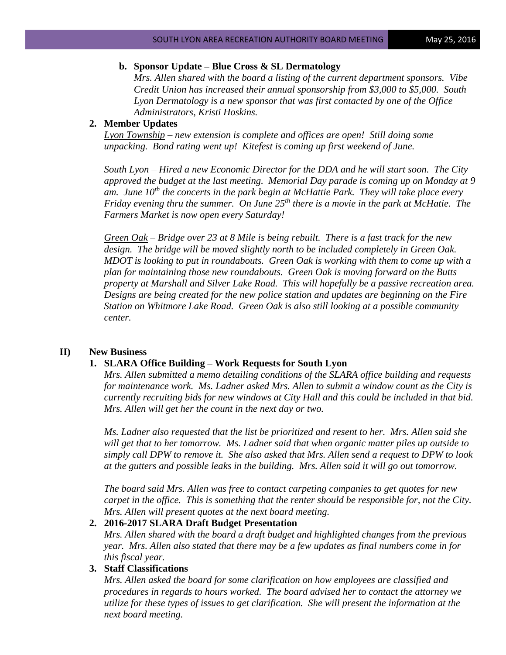### **b. Sponsor Update – Blue Cross & SL Dermatology**

*Mrs. Allen shared with the board a listing of the current department sponsors. Vibe Credit Union has increased their annual sponsorship from \$3,000 to \$5,000. South Lyon Dermatology is a new sponsor that was first contacted by one of the Office Administrators, Kristi Hoskins.*

#### **2. Member Updates**

*Lyon Township – new extension is complete and offices are open! Still doing some unpacking. Bond rating went up! Kitefest is coming up first weekend of June.* 

*South Lyon – Hired a new Economic Director for the DDA and he will start soon. The City approved the budget at the last meeting. Memorial Day parade is coming up on Monday at 9 am. June 10th the concerts in the park begin at McHattie Park. They will take place every Friday evening thru the summer. On June 25th there is a movie in the park at McHatie. The Farmers Market is now open every Saturday!*

*Green Oak – Bridge over 23 at 8 Mile is being rebuilt. There is a fast track for the new design. The bridge will be moved slightly north to be included completely in Green Oak. MDOT is looking to put in roundabouts. Green Oak is working with them to come up with a plan for maintaining those new roundabouts. Green Oak is moving forward on the Butts property at Marshall and Silver Lake Road. This will hopefully be a passive recreation area. Designs are being created for the new police station and updates are beginning on the Fire Station on Whitmore Lake Road. Green Oak is also still looking at a possible community center.* 

## **II) New Business**

### **1. SLARA Office Building – Work Requests for South Lyon**

*Mrs. Allen submitted a memo detailing conditions of the SLARA office building and requests for maintenance work. Ms. Ladner asked Mrs. Allen to submit a window count as the City is currently recruiting bids for new windows at City Hall and this could be included in that bid. Mrs. Allen will get her the count in the next day or two.* 

*Ms. Ladner also requested that the list be prioritized and resent to her. Mrs. Allen said she will get that to her tomorrow. Ms. Ladner said that when organic matter piles up outside to simply call DPW to remove it. She also asked that Mrs. Allen send a request to DPW to look at the gutters and possible leaks in the building. Mrs. Allen said it will go out tomorrow.*

*The board said Mrs. Allen was free to contact carpeting companies to get quotes for new carpet in the office. This is something that the renter should be responsible for, not the City. Mrs. Allen will present quotes at the next board meeting.*

### **2. 2016-2017 SLARA Draft Budget Presentation**

*Mrs. Allen shared with the board a draft budget and highlighted changes from the previous year. Mrs. Allen also stated that there may be a few updates as final numbers come in for this fiscal year.*

#### **3. Staff Classifications**

*Mrs. Allen asked the board for some clarification on how employees are classified and procedures in regards to hours worked. The board advised her to contact the attorney we utilize for these types of issues to get clarification. She will present the information at the next board meeting.*